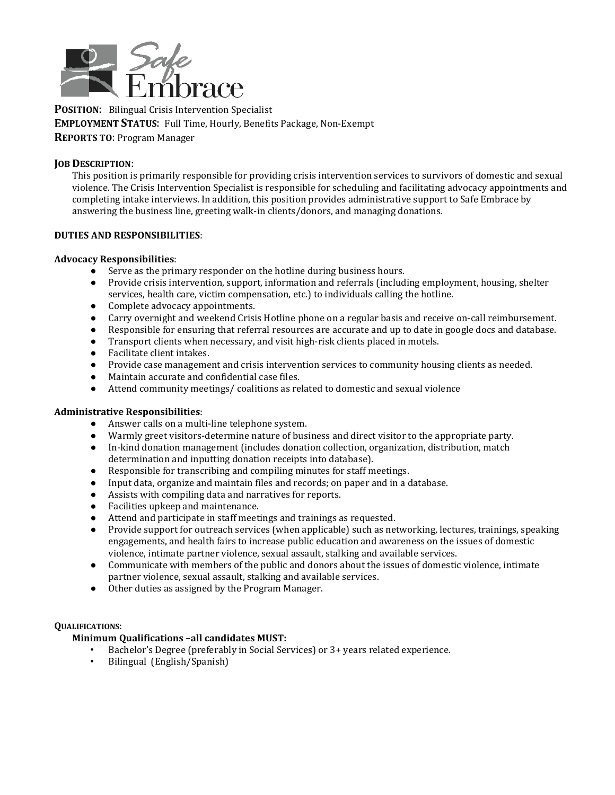

**POSITION**: Bilingual Crisis Intervention Specialist **EMPLOYMENT STATUS**: Full Time, Hourly, Benefits Package, Non-Exempt **REPORTS TO**: Program Manager

### **JOB DESCRIPTION**:

This position is primarily responsible for providing crisis intervention services to survivors of domestic and sexual violence. The Crisis Intervention Specialist is responsible for scheduling and facilitating advocacy appointments and completing intake interviews. In addition, this position provides administrative support to Safe Embrace by answering the business line, greeting walk-in clients/donors, and managing donations.

### **DUTIES AND RESPONSIBILITIES**:

## **Advocacy Responsibilities**:

- Serve as the primary responder on the hotline during business hours.
- Provide crisis intervention, support, information and referrals (including employment, housing, shelter services, health care, victim compensation, etc.) to individuals calling the hotline.
- Complete advocacy appointments.
- Carry overnight and weekend Crisis Hotline phone on a regular basis and receive on-call reimbursement.
- Responsible for ensuring that referral resources are accurate and up to date in google docs and database.<br>● Transport clients when necessary, and visit high-risk clients placed in motels.
- Transport clients when necessary, and visit high-risk clients placed in motels.
- Facilitate client intakes.
- Provide case management and crisis intervention services to community housing clients as needed.<br>● Maintain accurate and confidential case files
- Maintain accurate and confidential case files.<br>● Attend community meetings / coalitions as re
- Attend community meetings/ coalitions as related to domestic and sexual violence

### **Administrative Responsibilities**:

- Answer calls on a multi-line telephone system.
- Warmly greet visitors-determine nature of business and direct visitor to the appropriate party.
- In-kind donation management (includes donation collection, organization, distribution, match determination and inputting donation receipts into database).
- Responsible for transcribing and compiling minutes for staff meetings.
- Input data, organize and maintain files and records; on paper and in a database.
- Assists with compiling data and narratives for reports.
- Facilities upkeep and maintenance.
- Attend and participate in staff meetings and trainings as requested.
- Provide support for outreach services (when applicable) such as networking, lectures, trainings, speaking engagements, and health fairs to increase public education and awareness on the issues of domestic violence, intimate partner violence, sexual assault, stalking and available services.
- Communicate with members of the public and donors about the issues of domestic violence, intimate partner violence, sexual assault, stalking and available services.
- Other duties as assigned by the Program Manager.

### **QUALIFICATIONS**:

# **Minimum Qualifications –all candidates MUST:**

- Bachelor's Degree (preferably in Social Services) or 3+ years related experience.<br>• Bilingual (English/Spanish)
- Bilingual (English/Spanish)